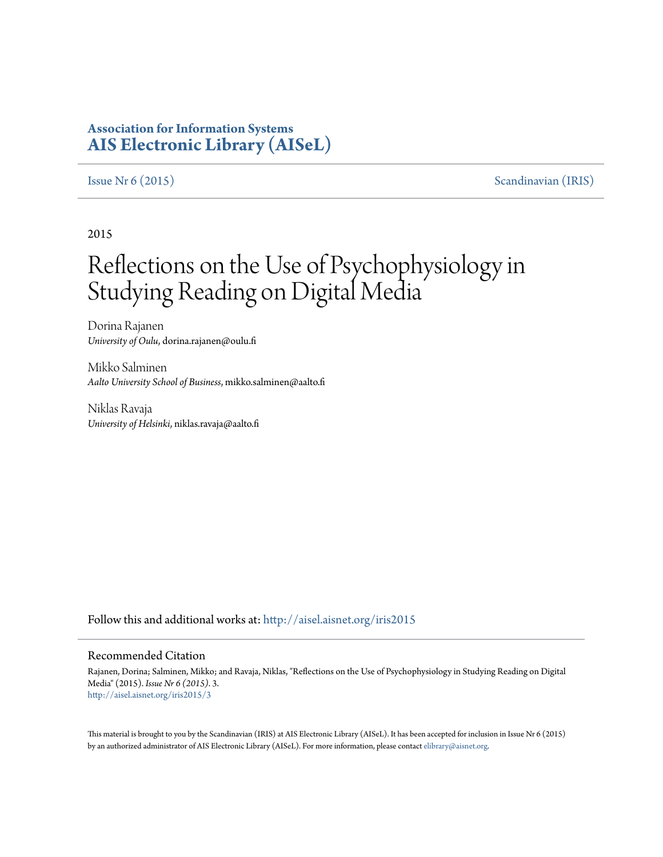# **Association for Information Systems [AIS Electronic Library \(AISeL\)](http://aisel.aisnet.org?utm_source=aisel.aisnet.org%2Firis2015%2F3&utm_medium=PDF&utm_campaign=PDFCoverPages)**

[Issue Nr 6 \(2015\)](http://aisel.aisnet.org/iris2015?utm_source=aisel.aisnet.org%2Firis2015%2F3&utm_medium=PDF&utm_campaign=PDFCoverPages) [Scandinavian \(IRIS\)](http://aisel.aisnet.org/iris?utm_source=aisel.aisnet.org%2Firis2015%2F3&utm_medium=PDF&utm_campaign=PDFCoverPages)

2015

# Reflections on the Use of Psychophysiology in Studying Reading on Digital Media

Dorina Rajanen *University of Oulu*, dorina.rajanen@oulu.fi

Mikko Salminen *Aalto University School of Business*, mikko.salminen@aalto.fi

Niklas Ravaja *University of Helsinki*, niklas.ravaja@aalto.fi

Follow this and additional works at: [http://aisel.aisnet.org/iris2015](http://aisel.aisnet.org/iris2015?utm_source=aisel.aisnet.org%2Firis2015%2F3&utm_medium=PDF&utm_campaign=PDFCoverPages)

#### Recommended Citation

Rajanen, Dorina; Salminen, Mikko; and Ravaja, Niklas, "Reflections on the Use of Psychophysiology in Studying Reading on Digital Media" (2015). *Issue Nr 6 (2015)*. 3. [http://aisel.aisnet.org/iris2015/3](http://aisel.aisnet.org/iris2015/3?utm_source=aisel.aisnet.org%2Firis2015%2F3&utm_medium=PDF&utm_campaign=PDFCoverPages)

This material is brought to you by the Scandinavian (IRIS) at AIS Electronic Library (AISeL). It has been accepted for inclusion in Issue Nr 6 (2015) by an authorized administrator of AIS Electronic Library (AISeL). For more information, please contact [elibrary@aisnet.org](mailto:elibrary@aisnet.org%3E).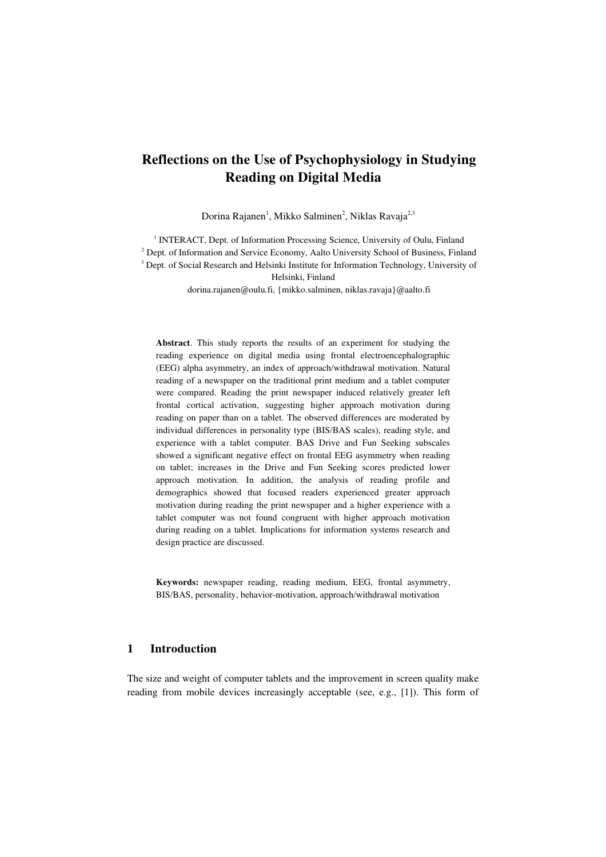Dorina Rajanen<sup>1</sup>, Mikko Salminen<sup>2</sup>, Niklas Ravaja<sup>2,3</sup>

<sup>1</sup> INTERACT, Dept. of Information Processing Science, University of Oulu, Finland <sup>2</sup> Dept. of Information and Service Economy, Aalto University School of Business, Finland <sup>3</sup> Dept. of Social Research and Helsinki Institute for Information Technology, University of Helsinki, Finland dorina.rajanen@oulu.fi, {mikko.salminen, niklas.ravaja}@aalto.fi

Abstract. This study reports the results of an experiment for studying the reading experience on digital media using frontal electroencephalographic (EEG) alpha asymmetry, an index of approach/withdrawal motivation. Natural reading of a newspaper on the traditional print medium and a tablet computer were compared. Reading the print newspaper induced relatively greater left frontal cortical activation, suggesting higher approach motivation during reading on paper than on a tablet. The observed differences are moderated by individual differences in personality type (BIS/BAS scales), reading style, and experience with a tablet computer. BAS Drive and Fun Seeking subscales showed a significant negative effect on frontal EEG asymmetry when reading on tablet; increases in the Drive and Fun Seeking scores predicted lower approach motivation. In addition, the analysis of reading profile and demographics showed that focused readers experienced greater approach motivation during reading the print newspaper and a higher experience with a tablet computer was not found congruent with higher approach motivation during reading on a tablet. Implications for information systems research and design practice are discussed.

Keywords: newspaper reading, reading medium, EEG, frontal asymmetry, BIS/BAS, personality, behavior-motivation, approach/withdrawal motivation

#### 1 Introduction

The size and weight of computer tablets and the improvement in screen quality make reading from mobile devices increasingly acceptable (see, e.g., [1]). This form of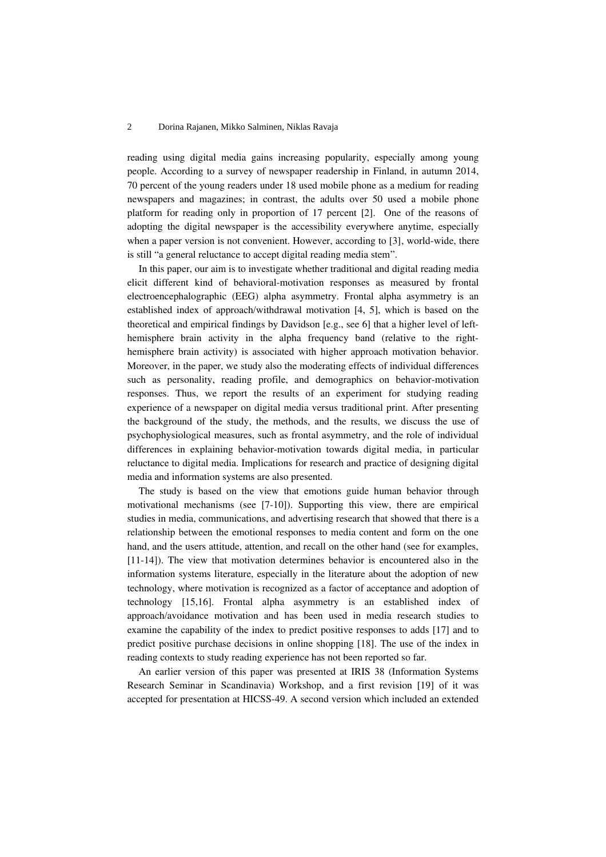reading using digital media gains increasing popularity, especially among young people. According to a survey of newspaper readership in Finland, in autumn 2014, 70 percent of the young readers under 18 used mobile phone as a medium for reading newspapers and magazines; in contrast, the adults over 50 used a mobile phone platform for reading only in proportion of 17 percent [2]. One of the reasons of adopting the digital newspaper is the accessibility everywhere anytime, especially when a paper version is not convenient. However, according to [3], world-wide, there is still "a general reluctance to accept digital reading media stem".

In this paper, our aim is to investigate whether traditional and digital reading media elicit different kind of behavioral-motivation responses as measured by frontal electroencephalographic (EEG) alpha asymmetry. Frontal alpha asymmetry is an established index of approach/withdrawal motivation [4, 5], which is based on the theoretical and empirical findings by Davidson [e.g., see 6] that a higher level of lefthemisphere brain activity in the alpha frequency band (relative to the righthemisphere brain activity) is associated with higher approach motivation behavior. Moreover, in the paper, we study also the moderating effects of individual differences such as personality, reading profile, and demographics on behavior-motivation responses. Thus, we report the results of an experiment for studying reading experience of a newspaper on digital media versus traditional print. After presenting the background of the study, the methods, and the results, we discuss the use of psychophysiological measures, such as frontal asymmetry, and the role of individual differences in explaining behavior-motivation towards digital media, in particular reluctance to digital media. Implications for research and practice of designing digital media and information systems are also presented.

The study is based on the view that emotions guide human behavior through motivational mechanisms (see [7-10]). Supporting this view, there are empirical studies in media, communications, and advertising research that showed that there is a relationship between the emotional responses to media content and form on the one hand, and the users attitude, attention, and recall on the other hand (see for examples, [11-14]). The view that motivation determines behavior is encountered also in the information systems literature, especially in the literature about the adoption of new technology, where motivation is recognized as a factor of acceptance and adoption of technology [15,16]. Frontal alpha asymmetry is an established index of approach/avoidance motivation and has been used in media research studies to examine the capability of the index to predict positive responses to adds [17] and to predict positive purchase decisions in online shopping [18]. The use of the index in reading contexts to study reading experience has not been reported so far.

An earlier version of this paper was presented at IRIS 38 (Information Systems Research Seminar in Scandinavia) Workshop, and a first revision [19] of it was accepted for presentation at HICSS-49. A second version which included an extended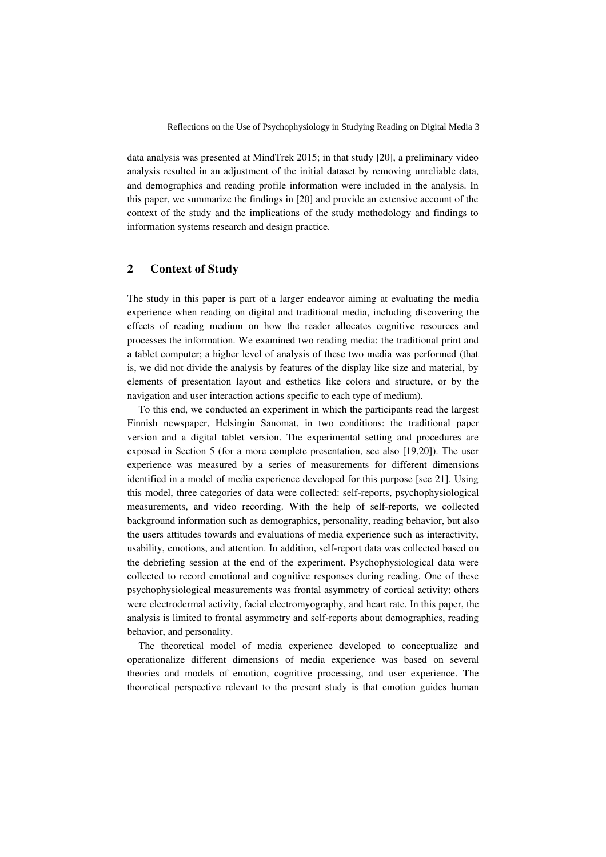data analysis was presented at MindTrek 2015; in that study [20], a preliminary video analysis resulted in an adjustment of the initial dataset by removing unreliable data, and demographics and reading profile information were included in the analysis. In this paper, we summarize the findings in [20] and provide an extensive account of the context of the study and the implications of the study methodology and findings to information systems research and design practice.

### 2 Context of Study

The study in this paper is part of a larger endeavor aiming at evaluating the media experience when reading on digital and traditional media, including discovering the effects of reading medium on how the reader allocates cognitive resources and processes the information. We examined two reading media: the traditional print and a tablet computer; a higher level of analysis of these two media was performed (that is, we did not divide the analysis by features of the display like size and material, by elements of presentation layout and esthetics like colors and structure, or by the navigation and user interaction actions specific to each type of medium).

To this end, we conducted an experiment in which the participants read the largest Finnish newspaper, Helsingin Sanomat, in two conditions: the traditional paper version and a digital tablet version. The experimental setting and procedures are exposed in Section 5 (for a more complete presentation, see also [19,20]). The user experience was measured by a series of measurements for different dimensions identified in a model of media experience developed for this purpose [see 21]. Using this model, three categories of data were collected: self-reports, psychophysiological measurements, and video recording. With the help of self-reports, we collected background information such as demographics, personality, reading behavior, but also the users attitudes towards and evaluations of media experience such as interactivity, usability, emotions, and attention. In addition, self-report data was collected based on the debriefing session at the end of the experiment. Psychophysiological data were collected to record emotional and cognitive responses during reading. One of these psychophysiological measurements was frontal asymmetry of cortical activity; others were electrodermal activity, facial electromyography, and heart rate. In this paper, the analysis is limited to frontal asymmetry and self-reports about demographics, reading behavior, and personality.

The theoretical model of media experience developed to conceptualize and operationalize different dimensions of media experience was based on several theories and models of emotion, cognitive processing, and user experience. The theoretical perspective relevant to the present study is that emotion guides human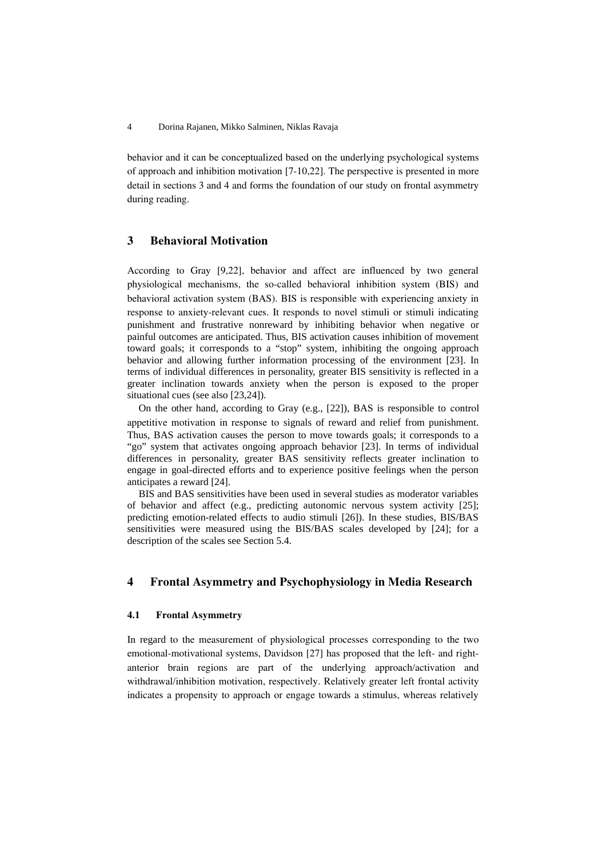behavior and it can be conceptualized based on the underlying psychological systems of approach and inhibition motivation [7-10,22]. The perspective is presented in more detail in sections 3 and 4 and forms the foundation of our study on frontal asymmetry during reading.

#### 3 Behavioral Motivation

According to Gray [9,22], behavior and affect are influenced by two general physiological mechanisms, the so-called behavioral inhibition system (BIS) and behavioral activation system (BAS). BIS is responsible with experiencing anxiety in response to anxiety-relevant cues. It responds to novel stimuli or stimuli indicating punishment and frustrative nonreward by inhibiting behavior when negative or painful outcomes are anticipated. Thus, BIS activation causes inhibition of movement toward goals; it corresponds to a "stop" system, inhibiting the ongoing approach behavior and allowing further information processing of the environment [23]. In terms of individual differences in personality, greater BIS sensitivity is reflected in a greater inclination towards anxiety when the person is exposed to the proper situational cues (see also [23,24]).

On the other hand, according to Gray (e.g., [22]), BAS is responsible to control appetitive motivation in response to signals of reward and relief from punishment. Thus, BAS activation causes the person to move towards goals; it corresponds to a "go" system that activates ongoing approach behavior [23]. In terms of individual differences in personality, greater BAS sensitivity reflects greater inclination to engage in goal-directed efforts and to experience positive feelings when the person anticipates a reward [24].

BIS and BAS sensitivities have been used in several studies as moderator variables of behavior and affect (e.g., predicting autonomic nervous system activity [25]; predicting emotion-related effects to audio stimuli [26]). In these studies, BIS/BAS sensitivities were measured using the BIS/BAS scales developed by [24]; for a description of the scales see Section 5.4.

### 4 Frontal Asymmetry and Psychophysiology in Media Research

#### 4.1 Frontal Asymmetry

In regard to the measurement of physiological processes corresponding to the two emotional-motivational systems, Davidson [27] has proposed that the left- and rightanterior brain regions are part of the underlying approach/activation and withdrawal/inhibition motivation, respectively. Relatively greater left frontal activity indicates a propensity to approach or engage towards a stimulus, whereas relatively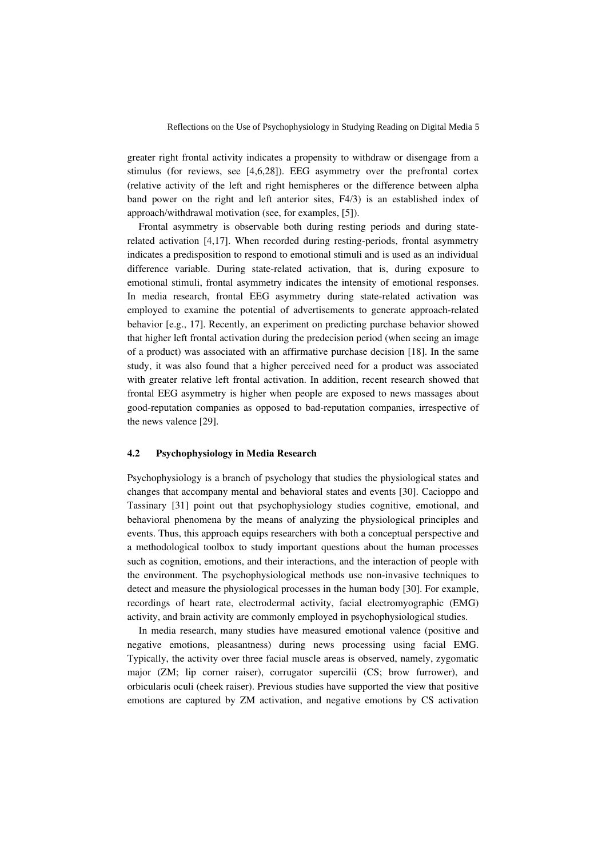greater right frontal activity indicates a propensity to withdraw or disengage from a stimulus (for reviews, see [4,6,28]). EEG asymmetry over the prefrontal cortex (relative activity of the left and right hemispheres or the difference between alpha band power on the right and left anterior sites, F4/3) is an established index of approach/withdrawal motivation (see, for examples, [5]).

Frontal asymmetry is observable both during resting periods and during staterelated activation [4,17]. When recorded during resting-periods, frontal asymmetry indicates a predisposition to respond to emotional stimuli and is used as an individual difference variable. During state-related activation, that is, during exposure to emotional stimuli, frontal asymmetry indicates the intensity of emotional responses. In media research, frontal EEG asymmetry during state-related activation was employed to examine the potential of advertisements to generate approach-related behavior [e.g., 17]. Recently, an experiment on predicting purchase behavior showed that higher left frontal activation during the predecision period (when seeing an image of a product) was associated with an affirmative purchase decision [18]. In the same study, it was also found that a higher perceived need for a product was associated with greater relative left frontal activation. In addition, recent research showed that frontal EEG asymmetry is higher when people are exposed to news massages about good-reputation companies as opposed to bad-reputation companies, irrespective of the news valence [29].

#### 4.2 Psychophysiology in Media Research

Psychophysiology is a branch of psychology that studies the physiological states and changes that accompany mental and behavioral states and events [30]. Cacioppo and Tassinary [31] point out that psychophysiology studies cognitive, emotional, and behavioral phenomena by the means of analyzing the physiological principles and events. Thus, this approach equips researchers with both a conceptual perspective and a methodological toolbox to study important questions about the human processes such as cognition, emotions, and their interactions, and the interaction of people with the environment. The psychophysiological methods use non-invasive techniques to detect and measure the physiological processes in the human body [30]. For example, recordings of heart rate, electrodermal activity, facial electromyographic (EMG) activity, and brain activity are commonly employed in psychophysiological studies.

In media research, many studies have measured emotional valence (positive and negative emotions, pleasantness) during news processing using facial EMG. Typically, the activity over three facial muscle areas is observed, namely, zygomatic major (ZM; lip corner raiser), corrugator supercilii (CS; brow furrower), and orbicularis oculi (cheek raiser). Previous studies have supported the view that positive emotions are captured by ZM activation, and negative emotions by CS activation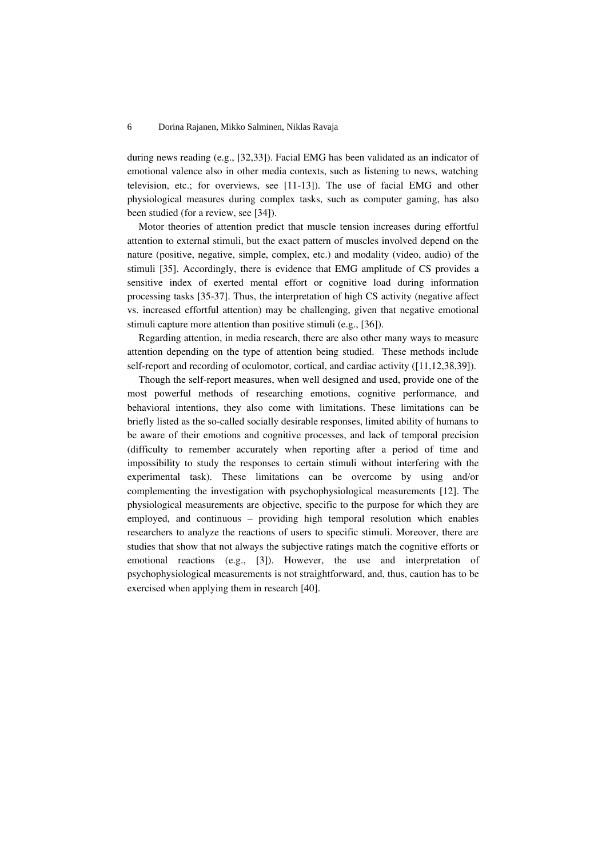during news reading (e.g., [32,33]). Facial EMG has been validated as an indicator of emotional valence also in other media contexts, such as listening to news, watching television, etc.; for overviews, see [11-13]). The use of facial EMG and other physiological measures during complex tasks, such as computer gaming, has also been studied (for a review, see [34]).

Motor theories of attention predict that muscle tension increases during effortful attention to external stimuli, but the exact pattern of muscles involved depend on the nature (positive, negative, simple, complex, etc.) and modality (video, audio) of the stimuli [35]. Accordingly, there is evidence that EMG amplitude of CS provides a sensitive index of exerted mental effort or cognitive load during information processing tasks [35-37]. Thus, the interpretation of high CS activity (negative affect vs. increased effortful attention) may be challenging, given that negative emotional stimuli capture more attention than positive stimuli (e.g., [36]).

Regarding attention, in media research, there are also other many ways to measure attention depending on the type of attention being studied. These methods include self-report and recording of oculomotor, cortical, and cardiac activity ([11,12,38,39]).

Though the self-report measures, when well designed and used, provide one of the most powerful methods of researching emotions, cognitive performance, and behavioral intentions, they also come with limitations. These limitations can be briefly listed as the so-called socially desirable responses, limited ability of humans to be aware of their emotions and cognitive processes, and lack of temporal precision (difficulty to remember accurately when reporting after a period of time and impossibility to study the responses to certain stimuli without interfering with the experimental task). These limitations can be overcome by using and/or complementing the investigation with psychophysiological measurements [12]. The physiological measurements are objective, specific to the purpose for which they are employed, and continuous – providing high temporal resolution which enables researchers to analyze the reactions of users to specific stimuli. Moreover, there are studies that show that not always the subjective ratings match the cognitive efforts or emotional reactions (e.g., [3]). However, the use and interpretation of psychophysiological measurements is not straightforward, and, thus, caution has to be exercised when applying them in research [40].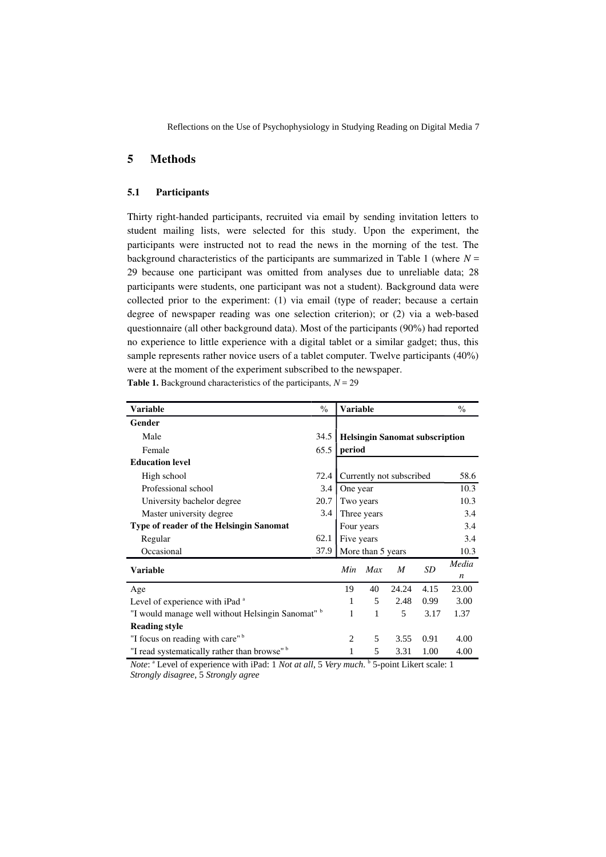#### 5 Methods

#### 5.1 Participants

Thirty right-handed participants, recruited via email by sending invitation letters to student mailing lists, were selected for this study. Upon the experiment, the participants were instructed not to read the news in the morning of the test. The background characteristics of the participants are summarized in Table 1 (where  $N =$ 29 because one participant was omitted from analyses due to unreliable data; 28 participants were students, one participant was not a student). Background data were collected prior to the experiment: (1) via email (type of reader; because a certain degree of newspaper reading was one selection criterion); or (2) via a web-based questionnaire (all other background data). Most of the participants (90%) had reported no experience to little experience with a digital tablet or a similar gadget; thus, this sample represents rather novice users of a tablet computer. Twelve participants (40%) were at the moment of the experiment subscribed to the newspaper.

Table 1. Background characteristics of the participants,  $N = 29$ 

| Variable                                                | $\frac{0}{0}$ | Variable                              |              |       |      | $\frac{0}{0}$ |  |  |
|---------------------------------------------------------|---------------|---------------------------------------|--------------|-------|------|---------------|--|--|
| Gender                                                  |               |                                       |              |       |      |               |  |  |
| Male                                                    | 34.5          | <b>Helsingin Sanomat subscription</b> |              |       |      |               |  |  |
| Female                                                  | 65.5          | period                                |              |       |      |               |  |  |
| <b>Education level</b>                                  |               |                                       |              |       |      |               |  |  |
| High school                                             | 72.4          | Currently not subscribed              |              |       |      | 58.6          |  |  |
| Professional school                                     | 3.4           | One year                              |              |       |      | 10.3          |  |  |
| University bachelor degree                              | 20.7          | Two years                             |              |       |      | 10.3          |  |  |
| Master university degree.                               | 3.4           | Three years                           |              |       |      | 3.4           |  |  |
| Type of reader of the Helsingin Sanomat                 |               | Four years<br>3.4                     |              |       |      |               |  |  |
| Regular                                                 | 62.1          | Five years                            |              |       |      | 3.4           |  |  |
| Occasional                                              | 37.9          | More than 5 years                     |              |       |      | 10.3          |  |  |
| <b>Variable</b>                                         |               | Min                                   | Max          | M     | SD   | Media<br>n    |  |  |
| Age                                                     |               | 19                                    | 40           | 24.24 | 4.15 | 23.00         |  |  |
| Level of experience with iPad <sup>a</sup>              |               | 1                                     | 5            | 2.48  | 0.99 | 3.00          |  |  |
| "I would manage well without Helsingin Sanomat" b       |               | 1                                     | $\mathbf{1}$ | 5     | 3.17 | 1.37          |  |  |
| <b>Reading style</b>                                    |               |                                       |              |       |      |               |  |  |
| "I focus on reading with care" <sup>b</sup>             |               | 2                                     | 5            | 3.55  | 0.91 | 4.00          |  |  |
| "I read systematically rather than browse" <sup>b</sup> |               | $\mathbf{1}$                          | 5            | 3.31  | 1.00 | 4.00          |  |  |

Note: <sup>a</sup> Level of experience with iPad: 1 *Not at all*, 5 *Very much*. **b** 5-point Likert scale: 1 *Strongly disagree*, 5 *Strongly agree*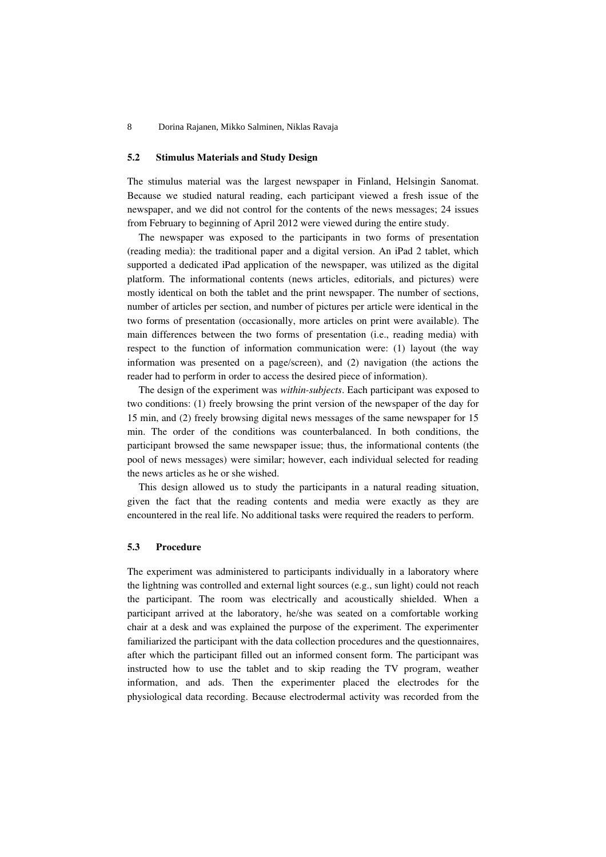#### 5.2 Stimulus Materials and Study Design

The stimulus material was the largest newspaper in Finland, Helsingin Sanomat. Because we studied natural reading, each participant viewed a fresh issue of the newspaper, and we did not control for the contents of the news messages; 24 issues from February to beginning of April 2012 were viewed during the entire study.

The newspaper was exposed to the participants in two forms of presentation (reading media): the traditional paper and a digital version. An iPad 2 tablet, which supported a dedicated iPad application of the newspaper, was utilized as the digital platform. The informational contents (news articles, editorials, and pictures) were mostly identical on both the tablet and the print newspaper. The number of sections, number of articles per section, and number of pictures per article were identical in the two forms of presentation (occasionally, more articles on print were available). The main differences between the two forms of presentation (i.e., reading media) with respect to the function of information communication were: (1) layout (the way information was presented on a page/screen), and (2) navigation (the actions the reader had to perform in order to access the desired piece of information).

The design of the experiment was *within-subjects*. Each participant was exposed to two conditions: (1) freely browsing the print version of the newspaper of the day for 15 min, and (2) freely browsing digital news messages of the same newspaper for 15 min. The order of the conditions was counterbalanced. In both conditions, the participant browsed the same newspaper issue; thus, the informational contents (the pool of news messages) were similar; however, each individual selected for reading the news articles as he or she wished.

This design allowed us to study the participants in a natural reading situation, given the fact that the reading contents and media were exactly as they are encountered in the real life. No additional tasks were required the readers to perform.

#### 5.3 Procedure

The experiment was administered to participants individually in a laboratory where the lightning was controlled and external light sources (e.g., sun light) could not reach the participant. The room was electrically and acoustically shielded. When a participant arrived at the laboratory, he/she was seated on a comfortable working chair at a desk and was explained the purpose of the experiment. The experimenter familiarized the participant with the data collection procedures and the questionnaires, after which the participant filled out an informed consent form. The participant was instructed how to use the tablet and to skip reading the TV program, weather information, and ads. Then the experimenter placed the electrodes for the physiological data recording. Because electrodermal activity was recorded from the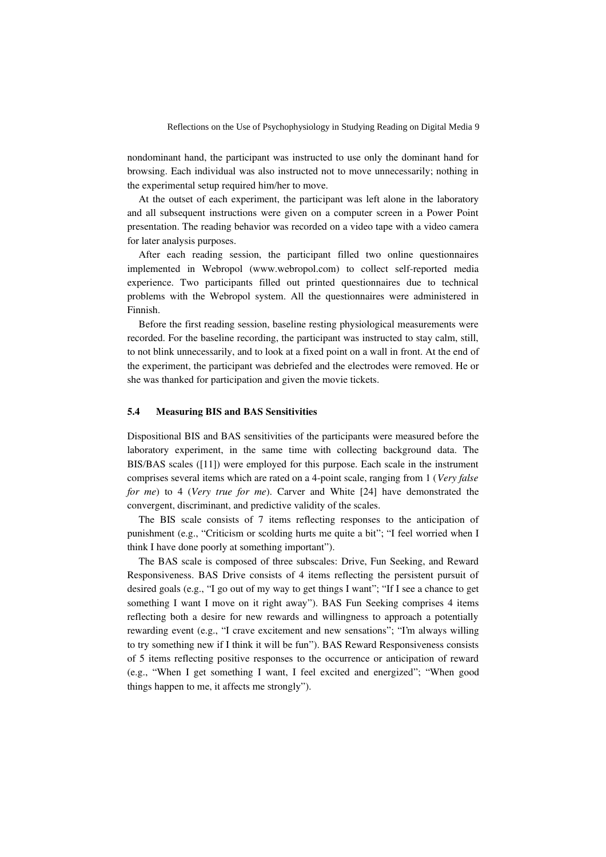nondominant hand, the participant was instructed to use only the dominant hand for browsing. Each individual was also instructed not to move unnecessarily; nothing in the experimental setup required him/her to move.

At the outset of each experiment, the participant was left alone in the laboratory and all subsequent instructions were given on a computer screen in a Power Point presentation. The reading behavior was recorded on a video tape with a video camera for later analysis purposes.

After each reading session, the participant filled two online questionnaires implemented in Webropol (www.webropol.com) to collect self-reported media experience. Two participants filled out printed questionnaires due to technical problems with the Webropol system. All the questionnaires were administered in Finnish.

Before the first reading session, baseline resting physiological measurements were recorded. For the baseline recording, the participant was instructed to stay calm, still, to not blink unnecessarily, and to look at a fixed point on a wall in front. At the end of the experiment, the participant was debriefed and the electrodes were removed. He or she was thanked for participation and given the movie tickets.

#### 5.4 Measuring BIS and BAS Sensitivities

Dispositional BIS and BAS sensitivities of the participants were measured before the laboratory experiment, in the same time with collecting background data. The BIS/BAS scales ([11]) were employed for this purpose. Each scale in the instrument comprises several items which are rated on a 4-point scale, ranging from 1 (Very false for me) to 4 (Very true for me). Carver and White [24] have demonstrated the convergent, discriminant, and predictive validity of the scales.

The BIS scale consists of 7 items reflecting responses to the anticipation of punishment (e.g., "Criticism or scolding hurts me quite a bit"; "I feel worried when I think I have done poorly at something important").

The BAS scale is composed of three subscales: Drive, Fun Seeking, and Reward Responsiveness. BAS Drive consists of 4 items reflecting the persistent pursuit of desired goals (e.g., "I go out of my way to get things I want"; "If I see a chance to get something I want I move on it right away"). BAS Fun Seeking comprises 4 items reflecting both a desire for new rewards and willingness to approach a potentially rewarding event (e.g., "I crave excitement and new sensations"; "I'm always willing to try something new if I think it will be fun"). BAS Reward Responsiveness consists of 5 items reflecting positive responses to the occurrence or anticipation of reward (e.g., "When I get something I want, I feel excited and energized"; "When good things happen to me, it affects me strongly").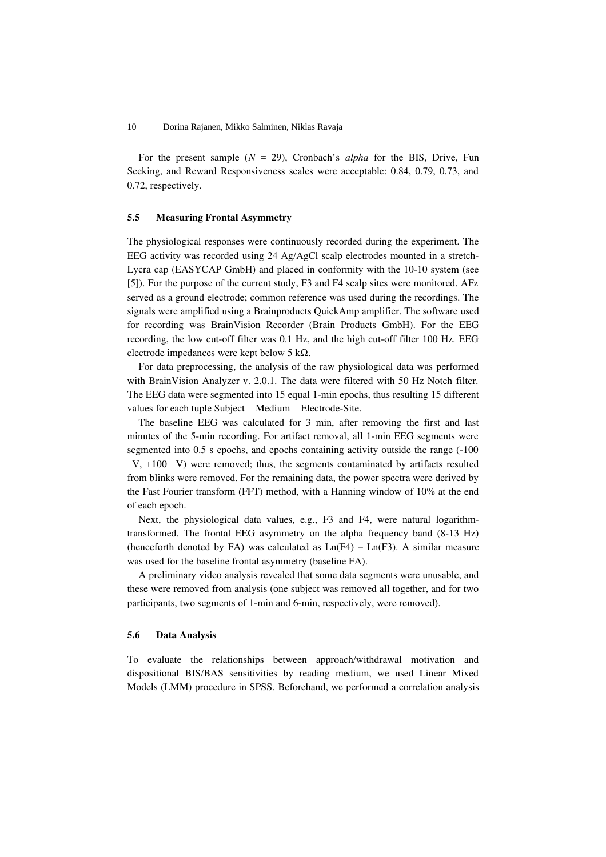For the present sample ( $N = 29$ ), Cronbach's *alpha* for the BIS, Drive, Fun Seeking, and Reward Responsiveness scales were acceptable: 0.84, 0.79, 0.73, and 0.72, respectively.

#### 5.5 Measuring Frontal Asymmetry

The physiological responses were continuously recorded during the experiment. The EEG activity was recorded using 24 Ag/AgCl scalp electrodes mounted in a stretch-Lycra cap (EASYCAP GmbH) and placed in conformity with the 10-10 system (see [5]). For the purpose of the current study, F3 and F4 scalp sites were monitored. AFz served as a ground electrode; common reference was used during the recordings. The signals were amplified using a Brainproducts QuickAmp amplifier. The software used for recording was BrainVision Recorder (Brain Products GmbH). For the EEG recording, the low cut-off filter was 0.1 Hz, and the high cut-off filter 100 Hz. EEG electrode impedances were kept below 5 kΩ.

For data preprocessing, the analysis of the raw physiological data was performed with BrainVision Analyzer v. 2.0.1. The data were filtered with 50 Hz Notch filter. The EEG data were segmented into 15 equal 1-min epochs, thus resulting 15 different values for each tuple Subject Medium Electrode-Site.

The baseline EEG was calculated for 3 min, after removing the first and last minutes of the 5-min recording. For artifact removal, all 1-min EEG segments were segmented into 0.5 s epochs, and epochs containing activity outside the range (-100  $V$ ,  $+100$  V) were removed; thus, the segments contaminated by artifacts resulted from blinks were removed. For the remaining data, the power spectra were derived by the Fast Fourier transform (FFT) method, with a Hanning window of 10% at the end of each epoch.

Next, the physiological data values, e.g., F3 and F4, were natural logarithmtransformed. The frontal EEG asymmetry on the alpha frequency band (8-13 Hz) (henceforth denoted by FA) was calculated as  $Ln(F4) - Ln(F3)$ . A similar measure was used for the baseline frontal asymmetry (baseline FA).

A preliminary video analysis revealed that some data segments were unusable, and these were removed from analysis (one subject was removed all together, and for two participants, two segments of 1-min and 6-min, respectively, were removed).

#### 5.6 Data Analysis

To evaluate the relationships between approach/withdrawal motivation and dispositional BIS/BAS sensitivities by reading medium, we used Linear Mixed Models (LMM) procedure in SPSS. Beforehand, we performed a correlation analysis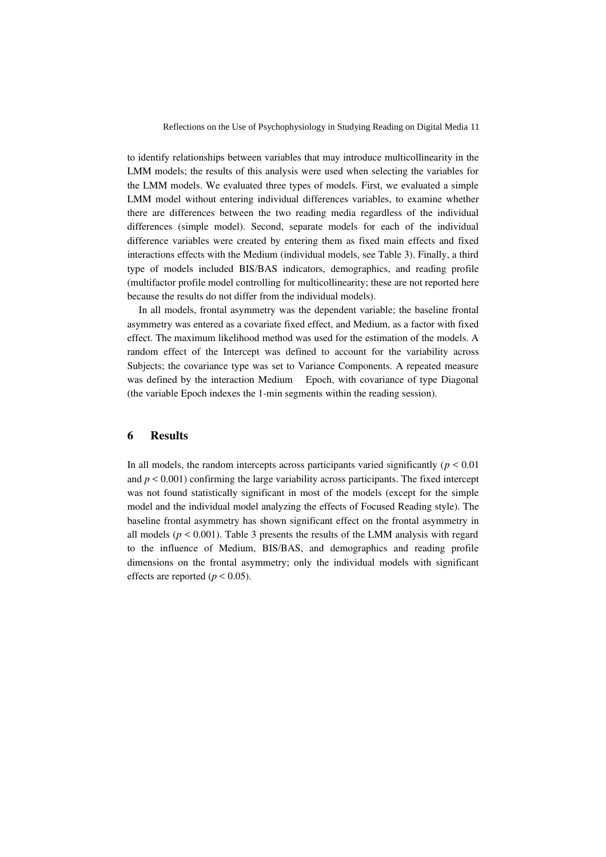to identify relationships between variables that may introduce multicollinearity in the LMM models; the results of this analysis were used when selecting the variables for the LMM models. We evaluated three types of models. First, we evaluated a simple LMM model without entering individual differences variables, to examine whether there are differences between the two reading media regardless of the individual differences (simple model). Second, separate models for each of the individual difference variables were created by entering them as fixed main effects and fixed interactions effects with the Medium (individual models, see Table 3). Finally, a third type of models included BIS/BAS indicators, demographics, and reading profile (multifactor profile model controlling for multicollinearity; these are not reported here because the results do not differ from the individual models).

In all models, frontal asymmetry was the dependent variable; the baseline frontal asymmetry was entered as a covariate fixed effect, and Medium, as a factor with fixed effect. The maximum likelihood method was used for the estimation of the models. A random effect of the Intercept was defined to account for the variability across Subjects; the covariance type was set to Variance Components. A repeated measure was defined by the interaction Medium Epoch, with covariance of type Diagonal (the variable Epoch indexes the 1-min segments within the reading session).

#### 6 Results

In all models, the random intercepts across participants varied significantly ( $p < 0.01$ ) and  $p < 0.001$ ) confirming the large variability across participants. The fixed intercept was not found statistically significant in most of the models (except for the simple model and the individual model analyzing the effects of Focused Reading style). The baseline frontal asymmetry has shown significant effect on the frontal asymmetry in all models ( $p < 0.001$ ). Table 3 presents the results of the LMM analysis with regard to the influence of Medium, BIS/BAS, and demographics and reading profile dimensions on the frontal asymmetry; only the individual models with significant effects are reported ( $p < 0.05$ ).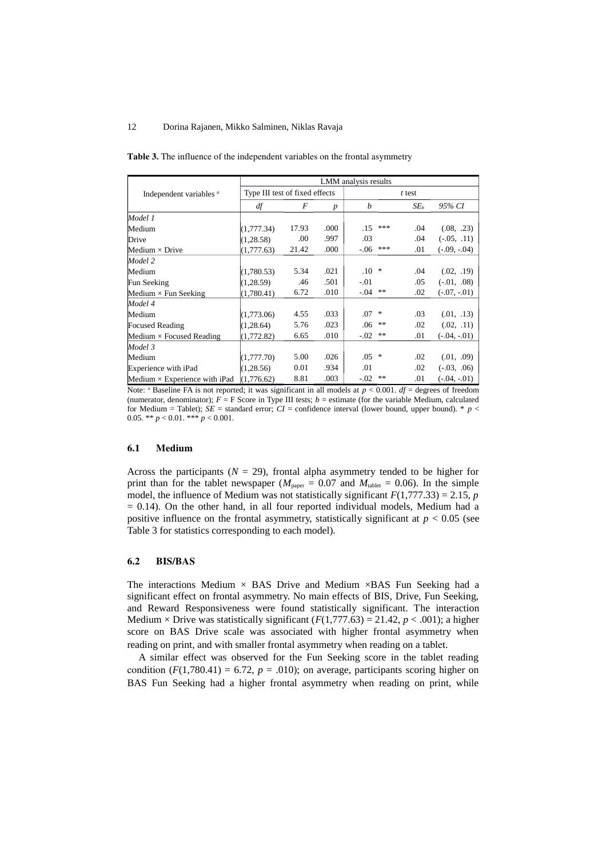|                                      | LMM analysis results           |       |      |         |     |                 |                |  |  |
|--------------------------------------|--------------------------------|-------|------|---------|-----|-----------------|----------------|--|--|
| Independent variables <sup>a</sup>   | Type III test of fixed effects |       |      | t test  |     |                 |                |  |  |
|                                      | df                             | F     | p    | b       |     | SE <sub>b</sub> | 95% CI         |  |  |
| Model 1                              |                                |       |      |         |     |                 |                |  |  |
| Medium                               | (1,777.34)                     | 17.93 | .000 | .15     | *** | .04             | (.08, .23)     |  |  |
| <b>Drive</b>                         | (1, 28.58)                     | .00.  | .997 | .03     |     | .04             | $(-.05, .11)$  |  |  |
| Medium $\times$ Drive                | (1,777.63)                     | 21.42 | .000 | $-.06$  | *** | .01             | $(-.09, -.04)$ |  |  |
| Model 2                              |                                |       |      |         |     |                 |                |  |  |
| Medium                               | (1,780.53)                     | 5.34  | .021 | $.10\,$ | ∗   | .04             | (.02, .19)     |  |  |
| Fun Seeking                          | (1, 28.59)                     | .46   | .501 | $-.01$  |     | .05             | $(-.01, .08)$  |  |  |
| Medium $\times$ Fun Seeking          | (1,780.41)                     | 6.72  | .010 | $-.04$  | **  | .02             | $(-.07, -.01)$ |  |  |
| Model 4                              |                                |       |      |         |     |                 |                |  |  |
| Medium                               | (1,773.06)                     | 4.55  | .033 | .07     | ∗   | .03             | (.01, .13)     |  |  |
| <b>Focused Reading</b>               | (1, 28.64)                     | 5.76  | .023 | .06     | **  | .02             | (.02, .11)     |  |  |
| Medium $\times$ Focused Reading      | (1,772.82)                     | 6.65  | .010 | $-.02$  | **  | .01             | $(-.04, -.01)$ |  |  |
| Model 3                              |                                |       |      |         |     |                 |                |  |  |
| Medium                               | (1,777.70)                     | 5.00  | .026 | .05     | ∗   | .02             | (.01, .09)     |  |  |
| Experience with iPad                 | (1, 28.56)                     | 0.01  | .934 | .01     |     | .02             | $(-.03, .06)$  |  |  |
| Medium $\times$ Experience with iPad | (1,776.62)                     | 8.81  | .003 | $-.02$  | **  | .01             | $(-.04, -.01)$ |  |  |

Table 3. The influence of the independent variables on the frontal asymmetry

Note:  $a$  Baseline FA is not reported; it was significant in all models at  $p < 0.001$ .  $df =$  degrees of freedom (numerator, denominator); *F* = F Score in Type III tests; *b* = estimate (for the variable Medium, calculated for Medium = Tablet);  $SE =$  standard error;  $CI =$  confidence interval (lower bound, upper bound). \* *p* < 0.05. \*\* *p* < 0.01. \*\*\* *p* < 0.001.

#### 6.1 Medium

Across the participants ( $N = 29$ ), frontal alpha asymmetry tended to be higher for print than for the tablet newspaper ( $M_{\text{paper}} = 0.07$  and  $M_{\text{tablet}} = 0.06$ ). In the simple model, the influence of Medium was not statistically significant *F*(1,777.33) = 2.15, *p* = 0.14). On the other hand, in all four reported individual models, Medium had a positive influence on the frontal asymmetry, statistically significant at  $p < 0.05$  (see Table 3 for statistics corresponding to each model).

#### 6.2 BIS/BAS

The interactions Medium  $\times$  BAS Drive and Medium  $\times$ BAS Fun Seeking had a significant effect on frontal asymmetry. No main effects of BIS, Drive, Fun Seeking, and Reward Responsiveness were found statistically significant. The interaction Medium  $\times$  Drive was statistically significant (*F*(1,777.63) = 21.42, *p* < .001); a higher score on BAS Drive scale was associated with higher frontal asymmetry when reading on print, and with smaller frontal asymmetry when reading on a tablet.

A similar effect was observed for the Fun Seeking score in the tablet reading condition  $(F(1,780.41) = 6.72, p = .010)$ ; on average, participants scoring higher on BAS Fun Seeking had a higher frontal asymmetry when reading on print, while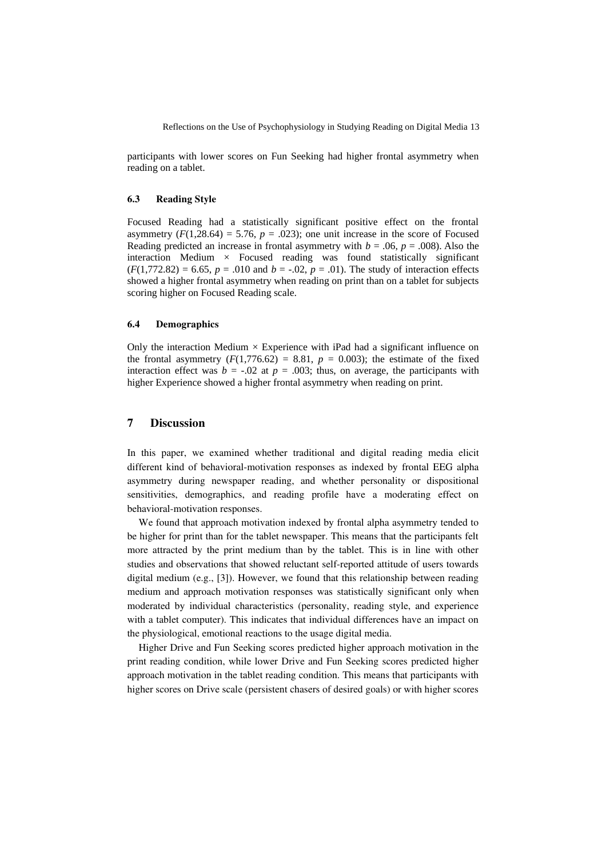participants with lower scores on Fun Seeking had higher frontal asymmetry when reading on a tablet.

#### 6.3 Reading Style

Focused Reading had a statistically significant positive effect on the frontal asymmetry  $(F(1,28.64) = 5.76, p = .023)$ ; one unit increase in the score of Focused Reading predicted an increase in frontal asymmetry with  $b = .06$ ,  $p = .008$ ). Also the interaction Medium × Focused reading was found statistically significant  $(F(1,772.82) = 6.65, p = .010$  and  $b = -.02, p = .01$ ). The study of interaction effects showed a higher frontal asymmetry when reading on print than on a tablet for subjects scoring higher on Focused Reading scale.

#### 6.4 Demographics

Only the interaction Medium  $\times$  Experience with iPad had a significant influence on the frontal asymmetry  $(F(1,776.62) = 8.81, p = 0.003)$ ; the estimate of the fixed interaction effect was  $b = -.02$  at  $p = .003$ ; thus, on average, the participants with higher Experience showed a higher frontal asymmetry when reading on print.

#### 7 Discussion

In this paper, we examined whether traditional and digital reading media elicit different kind of behavioral-motivation responses as indexed by frontal EEG alpha asymmetry during newspaper reading, and whether personality or dispositional sensitivities, demographics, and reading profile have a moderating effect on behavioral-motivation responses.

We found that approach motivation indexed by frontal alpha asymmetry tended to be higher for print than for the tablet newspaper. This means that the participants felt more attracted by the print medium than by the tablet. This is in line with other studies and observations that showed reluctant self-reported attitude of users towards digital medium (e.g., [3]). However, we found that this relationship between reading medium and approach motivation responses was statistically significant only when moderated by individual characteristics (personality, reading style, and experience with a tablet computer). This indicates that individual differences have an impact on the physiological, emotional reactions to the usage digital media.

Higher Drive and Fun Seeking scores predicted higher approach motivation in the print reading condition, while lower Drive and Fun Seeking scores predicted higher approach motivation in the tablet reading condition. This means that participants with higher scores on Drive scale (persistent chasers of desired goals) or with higher scores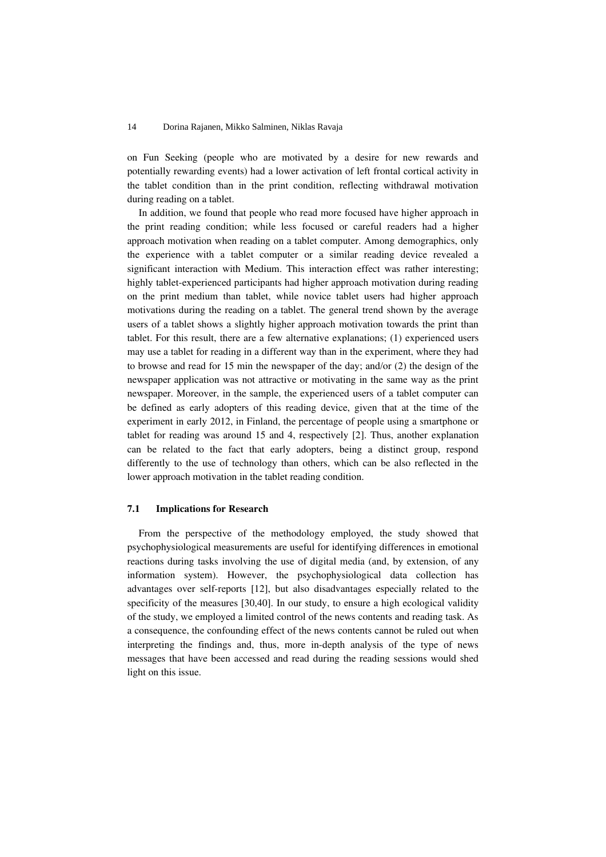on Fun Seeking (people who are motivated by a desire for new rewards and potentially rewarding events) had a lower activation of left frontal cortical activity in the tablet condition than in the print condition, reflecting withdrawal motivation during reading on a tablet.

In addition, we found that people who read more focused have higher approach in the print reading condition; while less focused or careful readers had a higher approach motivation when reading on a tablet computer. Among demographics, only the experience with a tablet computer or a similar reading device revealed a significant interaction with Medium. This interaction effect was rather interesting; highly tablet-experienced participants had higher approach motivation during reading on the print medium than tablet, while novice tablet users had higher approach motivations during the reading on a tablet. The general trend shown by the average users of a tablet shows a slightly higher approach motivation towards the print than tablet. For this result, there are a few alternative explanations; (1) experienced users may use a tablet for reading in a different way than in the experiment, where they had to browse and read for 15 min the newspaper of the day; and/or (2) the design of the newspaper application was not attractive or motivating in the same way as the print newspaper. Moreover, in the sample, the experienced users of a tablet computer can be defined as early adopters of this reading device, given that at the time of the experiment in early 2012, in Finland, the percentage of people using a smartphone or tablet for reading was around 15 and 4, respectively [2]. Thus, another explanation can be related to the fact that early adopters, being a distinct group, respond differently to the use of technology than others, which can be also reflected in the lower approach motivation in the tablet reading condition.

#### 7.1 Implications for Research

From the perspective of the methodology employed, the study showed that psychophysiological measurements are useful for identifying differences in emotional reactions during tasks involving the use of digital media (and, by extension, of any information system). However, the psychophysiological data collection has advantages over self-reports [12], but also disadvantages especially related to the specificity of the measures [30,40]. In our study, to ensure a high ecological validity of the study, we employed a limited control of the news contents and reading task. As a consequence, the confounding effect of the news contents cannot be ruled out when interpreting the findings and, thus, more in-depth analysis of the type of news messages that have been accessed and read during the reading sessions would shed light on this issue.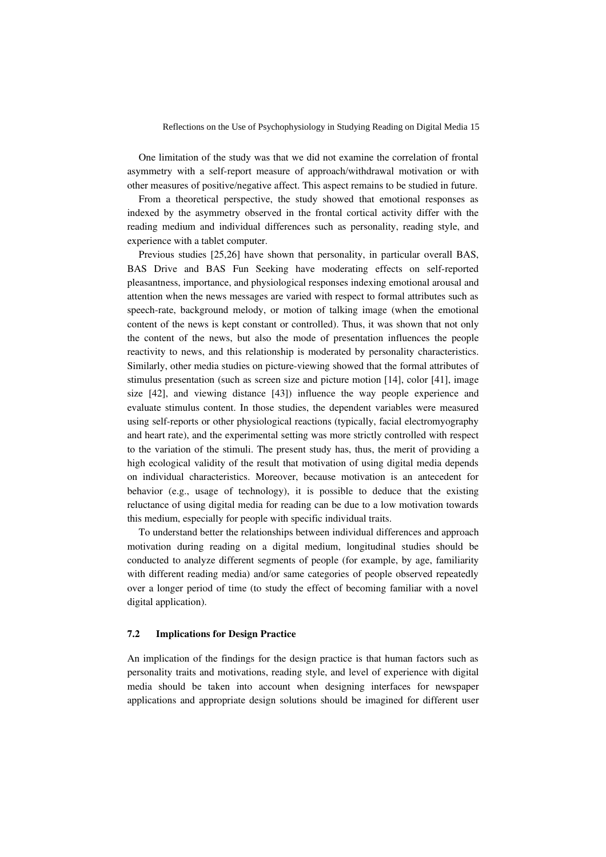One limitation of the study was that we did not examine the correlation of frontal asymmetry with a self-report measure of approach/withdrawal motivation or with other measures of positive/negative affect. This aspect remains to be studied in future.

From a theoretical perspective, the study showed that emotional responses as indexed by the asymmetry observed in the frontal cortical activity differ with the reading medium and individual differences such as personality, reading style, and experience with a tablet computer.

Previous studies [25,26] have shown that personality, in particular overall BAS, BAS Drive and BAS Fun Seeking have moderating effects on self-reported pleasantness, importance, and physiological responses indexing emotional arousal and attention when the news messages are varied with respect to formal attributes such as speech-rate, background melody, or motion of talking image (when the emotional content of the news is kept constant or controlled). Thus, it was shown that not only the content of the news, but also the mode of presentation influences the people reactivity to news, and this relationship is moderated by personality characteristics. Similarly, other media studies on picture-viewing showed that the formal attributes of stimulus presentation (such as screen size and picture motion [14], color [41], image size [42], and viewing distance [43]) influence the way people experience and evaluate stimulus content. In those studies, the dependent variables were measured using self-reports or other physiological reactions (typically, facial electromyography and heart rate), and the experimental setting was more strictly controlled with respect to the variation of the stimuli. The present study has, thus, the merit of providing a high ecological validity of the result that motivation of using digital media depends on individual characteristics. Moreover, because motivation is an antecedent for behavior (e.g., usage of technology), it is possible to deduce that the existing reluctance of using digital media for reading can be due to a low motivation towards this medium, especially for people with specific individual traits.

To understand better the relationships between individual differences and approach motivation during reading on a digital medium, longitudinal studies should be conducted to analyze different segments of people (for example, by age, familiarity with different reading media) and/or same categories of people observed repeatedly over a longer period of time (to study the effect of becoming familiar with a novel digital application).

#### 7.2 Implications for Design Practice

An implication of the findings for the design practice is that human factors such as personality traits and motivations, reading style, and level of experience with digital media should be taken into account when designing interfaces for newspaper applications and appropriate design solutions should be imagined for different user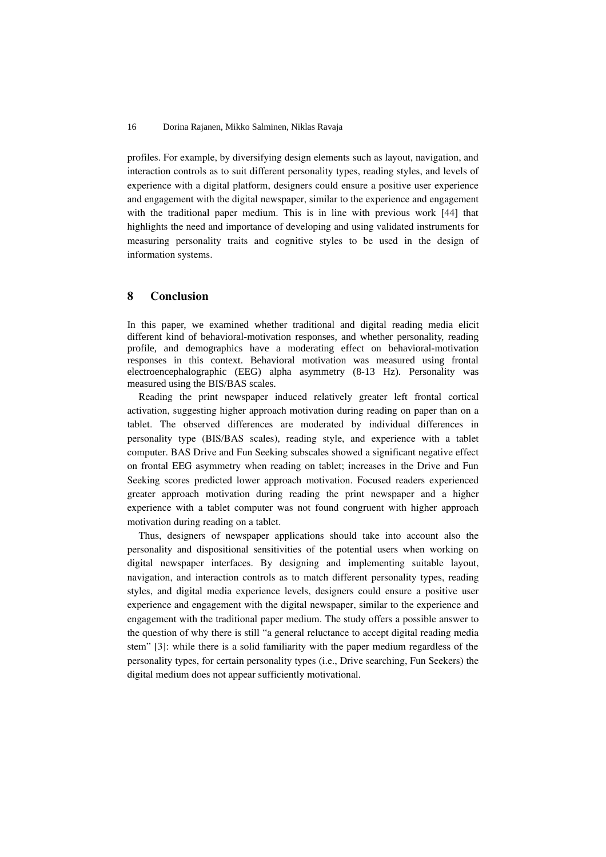profiles. For example, by diversifying design elements such as layout, navigation, and interaction controls as to suit different personality types, reading styles, and levels of experience with a digital platform, designers could ensure a positive user experience and engagement with the digital newspaper, similar to the experience and engagement with the traditional paper medium. This is in line with previous work [44] that highlights the need and importance of developing and using validated instruments for measuring personality traits and cognitive styles to be used in the design of information systems.

### 8 Conclusion

In this paper, we examined whether traditional and digital reading media elicit different kind of behavioral-motivation responses, and whether personality, reading profile, and demographics have a moderating effect on behavioral-motivation responses in this context. Behavioral motivation was measured using frontal electroencephalographic (EEG) alpha asymmetry (8-13 Hz). Personality was measured using the BIS/BAS scales.

Reading the print newspaper induced relatively greater left frontal cortical activation, suggesting higher approach motivation during reading on paper than on a tablet. The observed differences are moderated by individual differences in personality type (BIS/BAS scales), reading style, and experience with a tablet computer. BAS Drive and Fun Seeking subscales showed a significant negative effect on frontal EEG asymmetry when reading on tablet; increases in the Drive and Fun Seeking scores predicted lower approach motivation. Focused readers experienced greater approach motivation during reading the print newspaper and a higher experience with a tablet computer was not found congruent with higher approach motivation during reading on a tablet.

Thus, designers of newspaper applications should take into account also the personality and dispositional sensitivities of the potential users when working on digital newspaper interfaces. By designing and implementing suitable layout, navigation, and interaction controls as to match different personality types, reading styles, and digital media experience levels, designers could ensure a positive user experience and engagement with the digital newspaper, similar to the experience and engagement with the traditional paper medium. The study offers a possible answer to the question of why there is still "a general reluctance to accept digital reading media stem" [3]: while there is a solid familiarity with the paper medium regardless of the personality types, for certain personality types (i.e., Drive searching, Fun Seekers) the digital medium does not appear sufficiently motivational.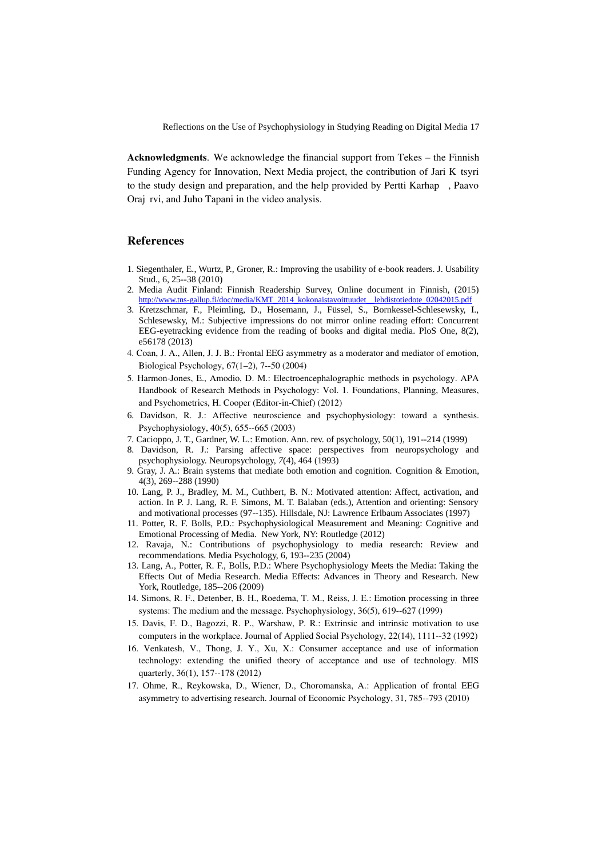Acknowledgments. We acknowledge the financial support from Tekes – the Finnish Funding Agency for Innovation, Next Media project, the contribution of Jari K tsyri to the study design and preparation, and the help provided by Pertti Karhap . Paavo Oraj rvi, and Juho Tapani in the video analysis.

### References

- 1. Siegenthaler, E., Wurtz, P., Groner, R.: Improving the usability of e-book readers. J. Usability Stud., 6, 25--38 (2010)
- 2. Media Audit Finland: Finnish Readership Survey, Online document in Finnish, (2015) [http://www.tns-gallup.fi/doc/media/KMT\\_2014\\_kokonaistavoittuudet\\_\\_lehdistotiedote\\_02042015.pdf](http://www.tns-gallup.fi/doc/media/KMT_2014_kokonaistavoittuudet__lehdistotiedote_02042015.pdf)
- 3. Kretzschmar, F., Pleimling, D., Hosemann, J., Füssel, S., Bornkessel-Schlesewsky, I., Schlesewsky, M.: Subjective impressions do not mirror online reading effort: Concurrent EEG-eyetracking evidence from the reading of books and digital media. PloS One, 8(2), e56178 (2013)
- 4. Coan, J. A., Allen, J. J. B.: Frontal EEG asymmetry as a moderator and mediator of emotion, Biological Psychology, 67(1–2), 7--50 (2004)
- 5. Harmon-Jones, E., Amodio, D. M.: Electroencephalographic methods in psychology. APA Handbook of Research Methods in Psychology: Vol. 1. Foundations, Planning, Measures, and Psychometrics, H. Cooper (Editor-in-Chief) (2012)
- 6. Davidson, R. J.: Affective neuroscience and psychophysiology: toward a synthesis. Psychophysiology, 40(5), 655--665 (2003)
- 7. Cacioppo, J. T., Gardner, W. L.: Emotion. Ann. rev. of psychology, 50(1), 191--214 (1999)
- 8. Davidson, R. J.: Parsing affective space: perspectives from neuropsychology and psychophysiology. Neuropsychology, *7*(4), 464 (1993)
- 9. Gray, J. A.: Brain systems that mediate both emotion and cognition. Cognition & Emotion, 4(3), 269--288 (1990)
- 10. Lang, P. J., Bradley, M. M., Cuthbert, B. N.: Motivated attention: Affect, activation, and action. In P. J. Lang, R. F. Simons, M. T. Balaban (eds.), Attention and orienting: Sensory and motivational processes (97--135). Hillsdale, NJ: Lawrence Erlbaum Associates (1997)
- 11. Potter, R. F. Bolls, P.D.: Psychophysiological Measurement and Meaning: Cognitive and Emotional Processing of Media. New York, NY: Routledge (2012)
- 12. Ravaja, N.: Contributions of psychophysiology to media research: Review and recommendations. Media Psychology, 6, 193--235 (2004)
- 13. Lang, A., Potter, R. F., Bolls, P.D.: Where Psychophysiology Meets the Media: Taking the Effects Out of Media Research. Media Effects: Advances in Theory and Research. New York, Routledge, 185--206 (2009)
- 14. Simons, R. F., Detenber, B. H., Roedema, T. M., Reiss, J. E.: Emotion processing in three systems: The medium and the message. Psychophysiology, 36(5), 619--627 (1999)
- 15. Davis, F. D., Bagozzi, R. P., Warshaw, P. R.: Extrinsic and intrinsic motivation to use computers in the workplace. Journal of Applied Social Psychology, 22(14), 1111--32 (1992)
- 16. Venkatesh, V., Thong, J. Y., Xu, X.: Consumer acceptance and use of information technology: extending the unified theory of acceptance and use of technology. MIS quarterly, 36(1), 157--178 (2012)
- 17. Ohme, R., Reykowska, D., Wiener, D., Choromanska, A.: Application of frontal EEG asymmetry to advertising research. Journal of Economic Psychology, 31, 785--793 (2010)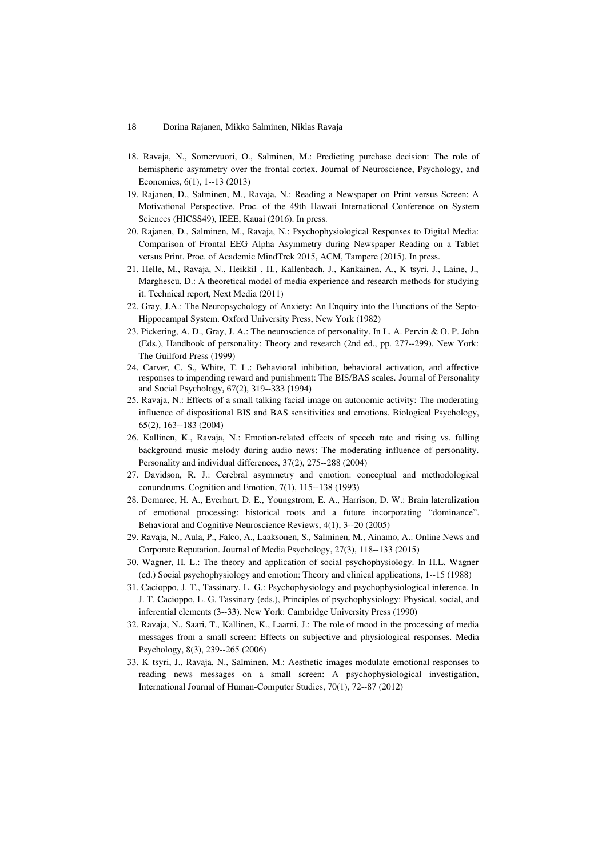- 18. Ravaja, N., Somervuori, O., Salminen, M.: Predicting purchase decision: The role of hemispheric asymmetry over the frontal cortex. Journal of Neuroscience, Psychology, and Economics, 6(1), 1--13 (2013)
- 19. Rajanen, D., Salminen, M., Ravaja, N.: Reading a Newspaper on Print versus Screen: A Motivational Perspective. Proc. of the 49th Hawaii International Conference on System Sciences (HICSS49), IEEE, Kauai (2016). In press.
- 20. Rajanen, D., Salminen, M., Ravaja, N.: Psychophysiological Responses to Digital Media: Comparison of Frontal EEG Alpha Asymmetry during Newspaper Reading on a Tablet versus Print. Proc. of Academic MindTrek 2015, ACM, Tampere (2015). In press.
- 21. Helle, M., Ravaja, N., Heikkil, H., Kallenbach, J., Kankainen, A., K tsyri, J., Laine, J., Marghescu, D.: A theoretical model of media experience and research methods for studying it. Technical report, Next Media (2011)
- 22. Gray, J.A.: The Neuropsychology of Anxiety: An Enquiry into the Functions of the Septo-Hippocampal System. Oxford University Press, New York (1982)
- 23. Pickering, A. D., Gray, J. A.: The neuroscience of personality. In L. A. Pervin & O. P. John (Eds.), Handbook of personality: Theory and research (2nd ed., pp. 277--299). New York: The Guilford Press (1999)
- 24. Carver, C. S., White, T. L.: Behavioral inhibition, behavioral activation, and affective responses to impending reward and punishment: The BIS/BAS scales. Journal of Personality and Social Psychology, 67(2), 319--333 (1994)
- 25. Ravaja, N.: Effects of a small talking facial image on autonomic activity: The moderating influence of dispositional BIS and BAS sensitivities and emotions. Biological Psychology, 65(2), 163--183 (2004)
- 26. Kallinen, K., Ravaja, N.: Emotion-related effects of speech rate and rising vs. falling background music melody during audio news: The moderating influence of personality. Personality and individual differences, 37(2), 275--288 (2004)
- 27. Davidson, R. J.: Cerebral asymmetry and emotion: conceptual and methodological conundrums. Cognition and Emotion, 7(1), 115--138 (1993)
- 28. Demaree, H. A., Everhart, D. E., Youngstrom, E. A., Harrison, D. W.: Brain lateralization of emotional processing: historical roots and a future incorporating "dominance". Behavioral and Cognitive Neuroscience Reviews, 4(1), 3--20 (2005)
- 29. Ravaja, N., Aula, P., Falco, A., Laaksonen, S., Salminen, M., Ainamo, A.: Online News and Corporate Reputation. Journal of Media Psychology, 27(3), 118--133 (2015)
- 30. Wagner, H. L.: The theory and application of social psychophysiology. In H.L. Wagner (ed.) Social psychophysiology and emotion: Theory and clinical applications, 1--15 (1988)
- 31. Cacioppo, J. T., Tassinary, L. G.: Psychophysiology and psychophysiological inference. In J. T. Cacioppo, L. G. Tassinary (eds.), Principles of psychophysiology: Physical, social, and inferential elements (3--33). New York: Cambridge University Press (1990)
- 32. Ravaja, N., Saari, T., Kallinen, K., Laarni, J.: The role of mood in the processing of media messages from a small screen: Effects on subjective and physiological responses. Media Psychology, 8(3), 239--265 (2006)
- 33. K tsyri, J., Ravaja, N., Salminen, M.: Aesthetic images modulate emotional responses to reading news messages on a small screen: A psychophysiological investigation, International Journal of Human-Computer Studies, 70(1), 72--87 (2012)